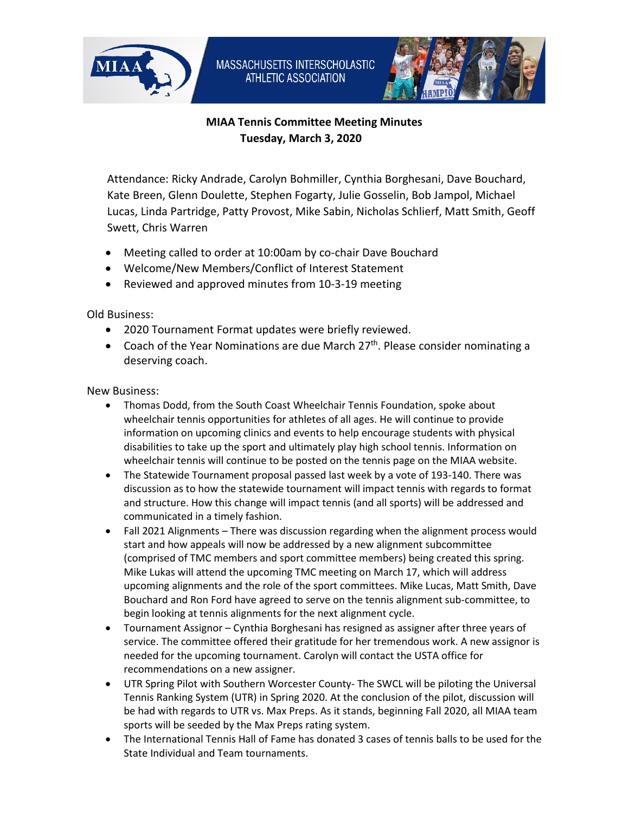



## **MIAA Tennis Committee Meeting Minutes Tuesday, March 3, 2020**

Attendance: Ricky Andrade, Carolyn Bohmiller, Cynthia Borghesani, Dave Bouchard, Kate Breen, Glenn Doulette, Stephen Fogarty, Julie Gosselin, Bob Jampol, Michael Lucas, Linda Partridge, Patty Provost, Mike Sabin, Nicholas Schlierf, Matt Smith, Geoff Swett, Chris Warren

- Meeting called to order at 10:00am by co-chair Dave Bouchard
- Welcome/New Members/Conflict of Interest Statement
- Reviewed and approved minutes from 10-3-19 meeting

Old Business:

- 2020 Tournament Format updates were briefly reviewed.
- Coach of the Year Nominations are due March  $27<sup>th</sup>$ . Please consider nominating a deserving coach.

New Business:

- Thomas Dodd, from the South Coast Wheelchair Tennis Foundation, spoke about wheelchair tennis opportunities for athletes of all ages. He will continue to provide information on upcoming clinics and events to help encourage students with physical disabilities to take up the sport and ultimately play high school tennis. Information on wheelchair tennis will continue to be posted on the tennis page on the MIAA website.
- The Statewide Tournament proposal passed last week by a vote of 193-140. There was discussion as to how the statewide tournament will impact tennis with regards to format and structure. How this change will impact tennis (and all sports) will be addressed and communicated in a timely fashion.
- Fall 2021 Alignments There was discussion regarding when the alignment process would start and how appeals will now be addressed by a new alignment subcommittee (comprised of TMC members and sport committee members) being created this spring. Mike Lukas will attend the upcoming TMC meeting on March 17, which will address upcoming alignments and the role of the sport committees. Mike Lucas, Matt Smith, Dave Bouchard and Ron Ford have agreed to serve on the tennis alignment sub-committee, to begin looking at tennis alignments for the next alignment cycle.
- Tournament Assignor Cynthia Borghesani has resigned as assigner after three years of service. The committee offered their gratitude for her tremendous work. A new assignor is needed for the upcoming tournament. Carolyn will contact the USTA office for recommendations on a new assigner.
- UTR Spring Pilot with Southern Worcester County- The SWCL will be piloting the Universal Tennis Ranking System (UTR) in Spring 2020. At the conclusion of the pilot, discussion will be had with regards to UTR vs. Max Preps. As it stands, beginning Fall 2020, all MIAA team sports will be seeded by the Max Preps rating system.
- The International Tennis Hall of Fame has donated 3 cases of tennis balls to be used for the State Individual and Team tournaments.